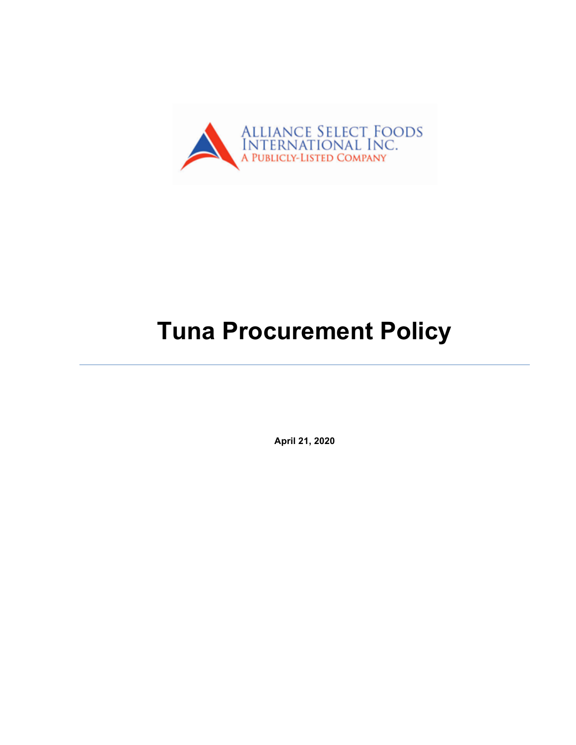

# **Tuna Procurement Policy**

**April 21, 2020**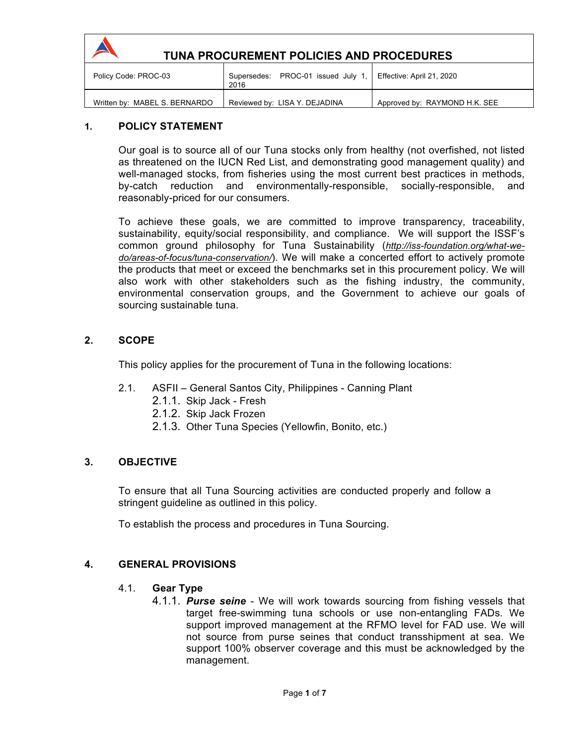

# **TUNA PROCUREMENT POLICIES AND PROCEDURES**

| Policy Code: PROC-03          | Supersedes: PROC-01 issued July 1.<br>2016 | Effective: April 21, 2020     |
|-------------------------------|--------------------------------------------|-------------------------------|
| Written by: MABEL S. BERNARDO | Reviewed by: LISA Y. DEJADINA              | Approved by: RAYMOND H.K. SEE |

# **1. POLICY STATEMENT**

Our goal is to source all of our Tuna stocks only from healthy (not overfished, not listed as threatened on the IUCN Red List, and demonstrating good management quality) and well-managed stocks, from fisheries using the most current best practices in methods, by-catch reduction and environmentally-responsible, socially-responsible, and reasonably-priced for our consumers.

To achieve these goals, we are committed to improve transparency, traceability, sustainability, equity/social responsibility, and compliance. We will support the ISSF's common ground philosophy for Tuna Sustainability (*http://iss-foundation.org/what-wedo/areas-of-focus/tuna-conservation/*). We will make a concerted effort to actively promote the products that meet or exceed the benchmarks set in this procurement policy. We will also work with other stakeholders such as the fishing industry, the community, environmental conservation groups, and the Government to achieve our goals of sourcing sustainable tuna.

## **2. SCOPE**

This policy applies for the procurement of Tuna in the following locations:

- 2.1. ASFII General Santos City, Philippines Canning Plant
	- 2.1.1. Skip Jack Fresh
	- 2.1.2. Skip Jack Frozen
	- 2.1.3. Other Tuna Species (Yellowfin, Bonito, etc.)

#### **3. OBJECTIVE**

To ensure that all Tuna Sourcing activities are conducted properly and follow a stringent guideline as outlined in this policy.

To establish the process and procedures in Tuna Sourcing.

# **4. GENERAL PROVISIONS**

- 4.1. **Gear Type**
	- 4.1.1. *Purse seine*  We will work towards sourcing from fishing vessels that target free-swimming tuna schools or use non-entangling FADs. We support improved management at the RFMO level for FAD use. We will not source from purse seines that conduct transshipment at sea. We support 100% observer coverage and this must be acknowledged by the management.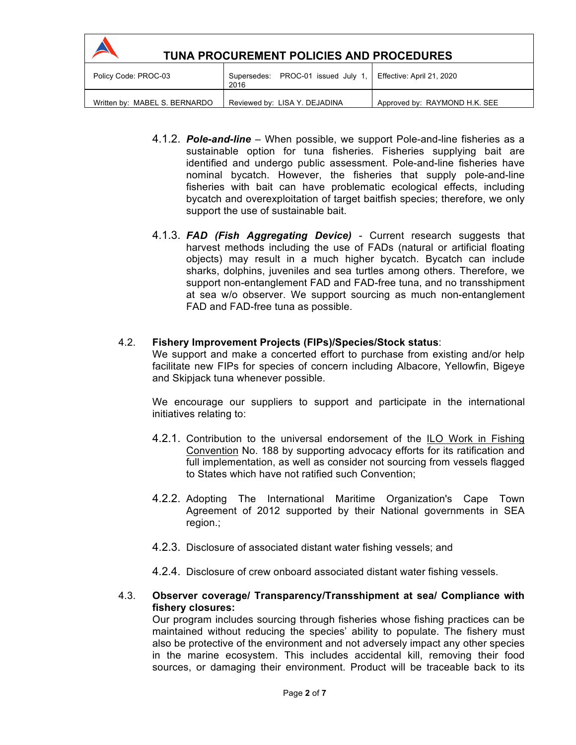| <b>TUNA PROCUREMENT POLICIES AND PROCEDURES</b> |                                            |                               |
|-------------------------------------------------|--------------------------------------------|-------------------------------|
| Policy Code: PROC-03                            | Supersedes: PROC-01 issued July 1,<br>2016 | Effective: April 21, 2020     |
| Written by: MABEL S. BERNARDO                   | Reviewed by: LISA Y. DEJADINA              | Approved by: RAYMOND H.K. SEE |

- 4.1.2. *Pole-and-line* When possible, we support Pole-and-line fisheries as a sustainable option for tuna fisheries. Fisheries supplying bait are identified and undergo public assessment. Pole-and-line fisheries have nominal bycatch. However, the fisheries that supply pole-and-line fisheries with bait can have problematic ecological effects, including bycatch and overexploitation of target baitfish species; therefore, we only support the use of sustainable bait.
- 4.1.3. *FAD (Fish Aggregating Device)* Current research suggests that harvest methods including the use of FADs (natural or artificial floating objects) may result in a much higher bycatch. Bycatch can include sharks, dolphins, juveniles and sea turtles among others. Therefore, we support non-entanglement FAD and FAD-free tuna, and no transshipment at sea w/o observer. We support sourcing as much non-entanglement FAD and FAD-free tuna as possible.

#### 4.2. **Fishery Improvement Projects (FIPs)/Species/Stock status**:

We support and make a concerted effort to purchase from existing and/or help facilitate new FIPs for species of concern including Albacore, Yellowfin, Bigeye and Skipjack tuna whenever possible.

We encourage our suppliers to support and participate in the international initiatives relating to:

- 4.2.1. Contribution to the universal endorsement of the ILO Work in Fishing Convention No. 188 by supporting advocacy efforts for its ratification and full implementation, as well as consider not sourcing from vessels flagged to States which have not ratified such Convention;
- 4.2.2. Adopting The International Maritime Organization's Cape Town Agreement of 2012 supported by their National governments in SEA region.;
- 4.2.3. Disclosure of associated distant water fishing vessels; and
- 4.2.4. Disclosure of crew onboard associated distant water fishing vessels.

#### 4.3. **Observer coverage/ Transparency/Transshipment at sea/ Compliance with fishery closures:**

Our program includes sourcing through fisheries whose fishing practices can be maintained without reducing the species' ability to populate. The fishery must also be protective of the environment and not adversely impact any other species in the marine ecosystem. This includes accidental kill, removing their food sources, or damaging their environment. Product will be traceable back to its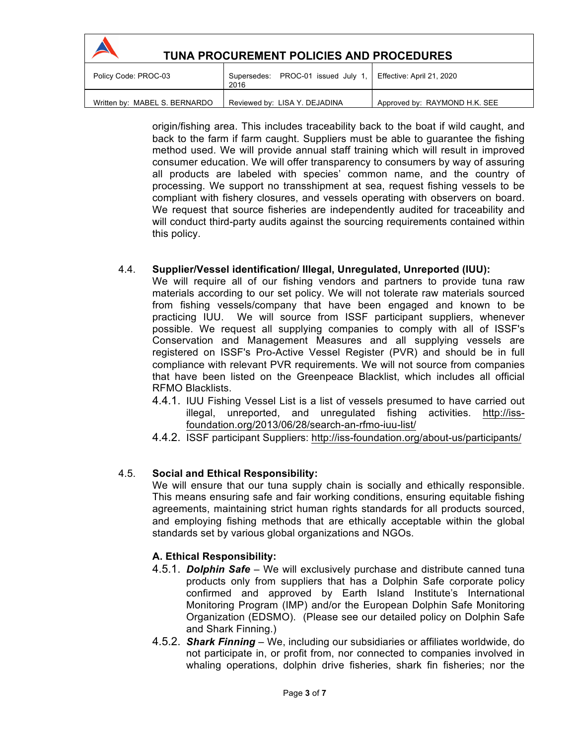| TUNA PROCUREMENT POLICIES AND PROCEDURES |                                              |                               |
|------------------------------------------|----------------------------------------------|-------------------------------|
| Policy Code: PROC-03                     | Supersedes: PROC-01 issued July 1, I<br>2016 | Effective: April 21, 2020     |
| Written by: MABEL S. BERNARDO            | Reviewed by: LISA Y. DEJADINA                | Approved by: RAYMOND H.K. SEE |

origin/fishing area. This includes traceability back to the boat if wild caught, and back to the farm if farm caught. Suppliers must be able to guarantee the fishing method used. We will provide annual staff training which will result in improved consumer education. We will offer transparency to consumers by way of assuring all products are labeled with species' common name, and the country of processing. We support no transshipment at sea, request fishing vessels to be compliant with fishery closures, and vessels operating with observers on board. We request that source fisheries are independently audited for traceability and will conduct third-party audits against the sourcing requirements contained within this policy.

## 4.4. **Supplier/Vessel identification/ Illegal, Unregulated, Unreported (IUU):**

We will require all of our fishing vendors and partners to provide tuna raw materials according to our set policy. We will not tolerate raw materials sourced from fishing vessels/company that have been engaged and known to be practicing IUU. We will source from ISSF participant suppliers, whenever possible. We request all supplying companies to comply with all of ISSF's Conservation and Management Measures and all supplying vessels are registered on ISSF's Pro-Active Vessel Register (PVR) and should be in full compliance with relevant PVR requirements. We will not source from companies that have been listed on the Greenpeace Blacklist, which includes all official RFMO Blacklists.

- 4.4.1. IUU Fishing Vessel List is a list of vessels presumed to have carried out illegal, unreported, and unregulated fishing activities. http://issfoundation.org/2013/06/28/search-an-rfmo-iuu-list/
- 4.4.2. ISSF participant Suppliers: http://iss-foundation.org/about-us/participants/

# 4.5. **Social and Ethical Responsibility:**

We will ensure that our tuna supply chain is socially and ethically responsible. This means ensuring safe and fair working conditions, ensuring equitable fishing agreements, maintaining strict human rights standards for all products sourced, and employing fishing methods that are ethically acceptable within the global standards set by various global organizations and NGOs.

#### **A. Ethical Responsibility:**

- 4.5.1. *Dolphin Safe* We will exclusively purchase and distribute canned tuna products only from suppliers that has a Dolphin Safe corporate policy confirmed and approved by Earth Island Institute's International Monitoring Program (IMP) and/or the European Dolphin Safe Monitoring Organization (EDSMO). (Please see our detailed policy on Dolphin Safe and Shark Finning.)
- 4.5.2. *Shark Finning* We, including our subsidiaries or affiliates worldwide, do not participate in, or profit from, nor connected to companies involved in whaling operations, dolphin drive fisheries, shark fin fisheries; nor the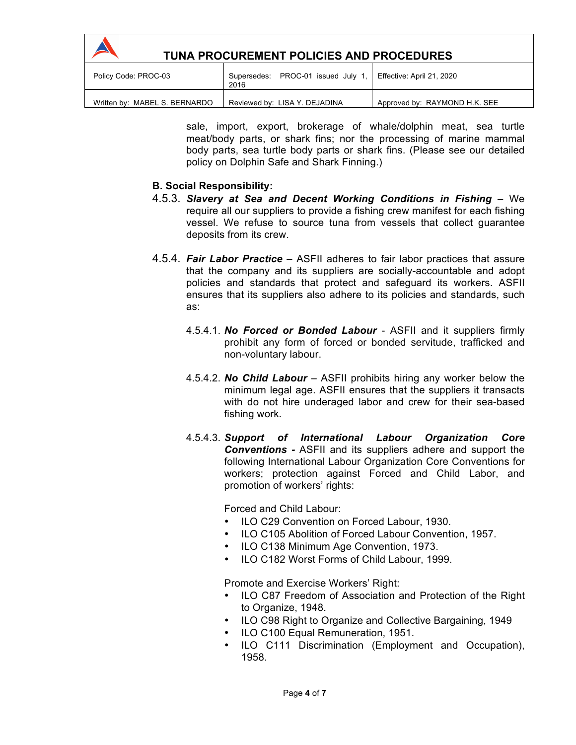| <b>TUNA PROCUREMENT POLICIES AND PROCEDURES</b> |                                            |                               |
|-------------------------------------------------|--------------------------------------------|-------------------------------|
| Policy Code: PROC-03                            | Supersedes: PROC-01 issued July 1,<br>2016 | Effective: April 21, 2020     |
| Written by: MABEL S. BERNARDO                   | Reviewed by: LISA Y. DEJADINA              | Approved by: RAYMOND H.K. SEE |

sale, import, export, brokerage of whale/dolphin meat, sea turtle meat/body parts, or shark fins; nor the processing of marine mammal body parts, sea turtle body parts or shark fins. (Please see our detailed policy on Dolphin Safe and Shark Finning.)

## **B. Social Responsibility:**

- 4.5.3. Slavery at Sea and Decent Working Conditions in Fishing We require all our suppliers to provide a fishing crew manifest for each fishing vessel. We refuse to source tuna from vessels that collect guarantee deposits from its crew.
- 4.5.4. *Fair Labor Practice* ASFII adheres to fair labor practices that assure that the company and its suppliers are socially-accountable and adopt policies and standards that protect and safeguard its workers. ASFII ensures that its suppliers also adhere to its policies and standards, such as:
	- 4.5.4.1. *No Forced or Bonded Labour* ASFII and it suppliers firmly prohibit any form of forced or bonded servitude, trafficked and non-voluntary labour.
	- 4.5.4.2. *No Child Labour* ASFII prohibits hiring any worker below the minimum legal age. ASFII ensures that the suppliers it transacts with do not hire underaged labor and crew for their sea-based fishing work.
	- 4.5.4.3. *Support of International Labour Organization Core Conventions -* ASFII and its suppliers adhere and support the following International Labour Organization Core Conventions for workers; protection against Forced and Child Labor, and promotion of workers' rights:

Forced and Child Labour:

- ILO C29 Convention on Forced Labour, 1930.
- ILO C105 Abolition of Forced Labour Convention, 1957.
- ILO C138 Minimum Age Convention, 1973.
- ILO C182 Worst Forms of Child Labour, 1999.

Promote and Exercise Workers' Right:

- ILO C87 Freedom of Association and Protection of the Right to Organize, 1948.
- ILO C98 Right to Organize and Collective Bargaining, 1949
- ILO C100 Equal Remuneration, 1951.
- ILO C111 Discrimination (Employment and Occupation), 1958.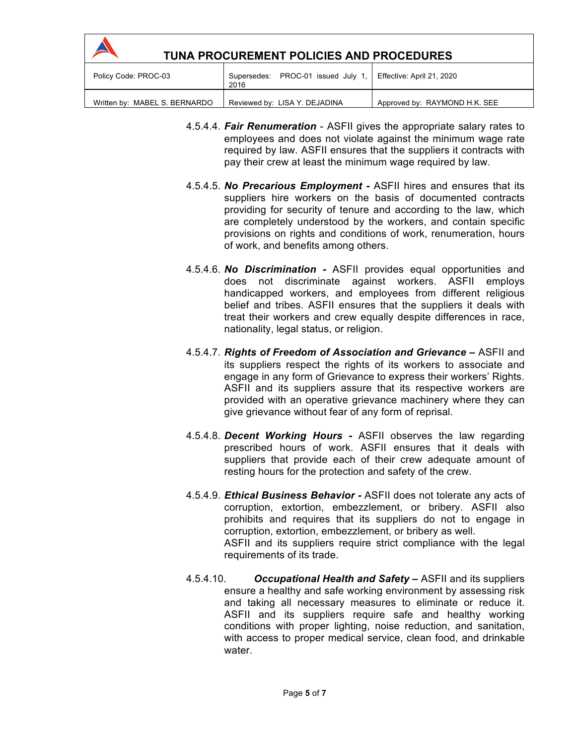| TUNA PROCUREMENT POLICIES AND PROCEDURES |                                            |                               |
|------------------------------------------|--------------------------------------------|-------------------------------|
| Policy Code: PROC-03                     | Supersedes: PROC-01 issued July 1,<br>2016 | Effective: April 21, 2020     |
| Written by: MABEL S. BERNARDO            | Reviewed by: LISA Y. DEJADINA              | Approved by: RAYMOND H.K. SEE |

- 4.5.4.4. *Fair Renumeration* ASFII gives the appropriate salary rates to employees and does not violate against the minimum wage rate required by law. ASFII ensures that the suppliers it contracts with pay their crew at least the minimum wage required by law.
- 4.5.4.5. *No Precarious Employment -* ASFII hires and ensures that its suppliers hire workers on the basis of documented contracts providing for security of tenure and according to the law, which are completely understood by the workers, and contain specific provisions on rights and conditions of work, renumeration, hours of work, and benefits among others.
- 4.5.4.6. *No Discrimination -* ASFII provides equal opportunities and does not discriminate against workers. ASFII employs handicapped workers, and employees from different religious belief and tribes. ASFII ensures that the suppliers it deals with treat their workers and crew equally despite differences in race, nationality, legal status, or religion.
- 4.5.4.7. *Rights of Freedom of Association and Grievance –* ASFII and its suppliers respect the rights of its workers to associate and engage in any form of Grievance to express their workers' Rights. ASFII and its suppliers assure that its respective workers are provided with an operative grievance machinery where they can give grievance without fear of any form of reprisal.
- 4.5.4.8. *Decent Working Hours -* ASFII observes the law regarding prescribed hours of work. ASFII ensures that it deals with suppliers that provide each of their crew adequate amount of resting hours for the protection and safety of the crew.
- 4.5.4.9. *Ethical Business Behavior -* ASFII does not tolerate any acts of corruption, extortion, embezzlement, or bribery. ASFII also prohibits and requires that its suppliers do not to engage in corruption, extortion, embezzlement, or bribery as well. ASFII and its suppliers require strict compliance with the legal requirements of its trade.
- 4.5.4.10. *Occupational Health and Safety –* ASFII and its suppliers ensure a healthy and safe working environment by assessing risk and taking all necessary measures to eliminate or reduce it. ASFII and its suppliers require safe and healthy working conditions with proper lighting, noise reduction, and sanitation, with access to proper medical service, clean food, and drinkable water.